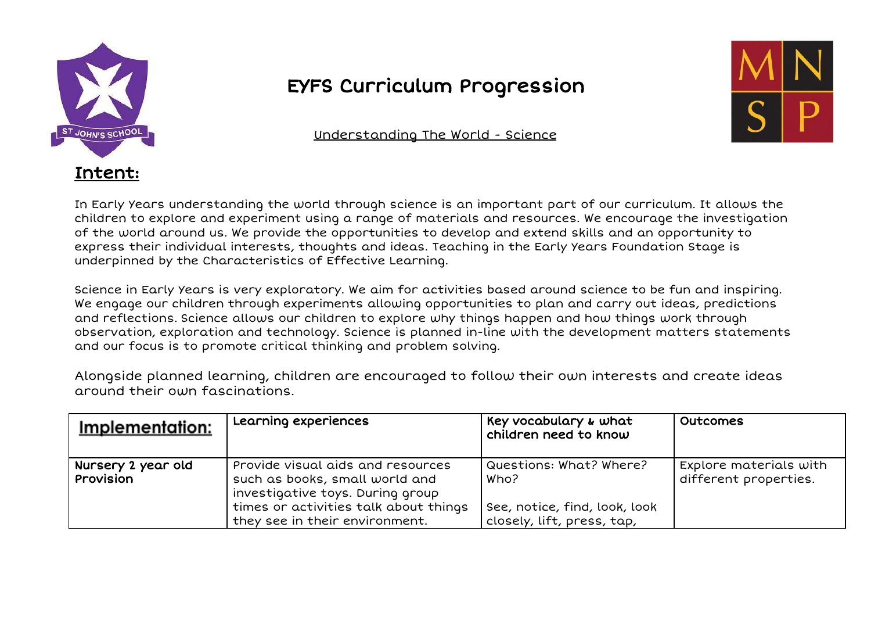

## EYFS Curriculum Progression

Understanding The World - Science



In Early Years understanding the world through science is an important part of our curriculum. It allows the children to explore and experiment using a range of materials and resources. We encourage the investigation of the world around us. We provide the opportunities to develop and extend skills and an opportunity to express their individual interests, thoughts and ideas. Teaching in the Early Years Foundation Stage is underpinned by the Characteristics of Effective Learning.

Science in Early Years is very exploratory. We aim for activities based around science to be fun and inspiring. We engage our children through experiments allowing opportunities to plan and carry out ideas, predictions and reflections. Science allows our children to explore why things happen and how things work through observation, exploration and technology. Science is planned in-line with the development matters statements and our focus is to promote critical thinking and problem solving.

Alongside planned learning, children are encouraged to follow their own interests and create ideas around their own fascinations.

| Implementation:                 | Learning experiences                                                                                    | Key vocabulary & what<br>children need to know              | <b>Outcomes</b>                                 |
|---------------------------------|---------------------------------------------------------------------------------------------------------|-------------------------------------------------------------|-------------------------------------------------|
| Nursery 2 year old<br>Provision | Provide visual aids and resources<br>such as books, small world and<br>investigative toys. During group | Questions: What? Where?<br>Who?                             | Explore materials with<br>different properties. |
|                                 | times or activities talk about things<br>they see in their environment.                                 | See, notice, find, look, look<br>closely, lift, press, tap, |                                                 |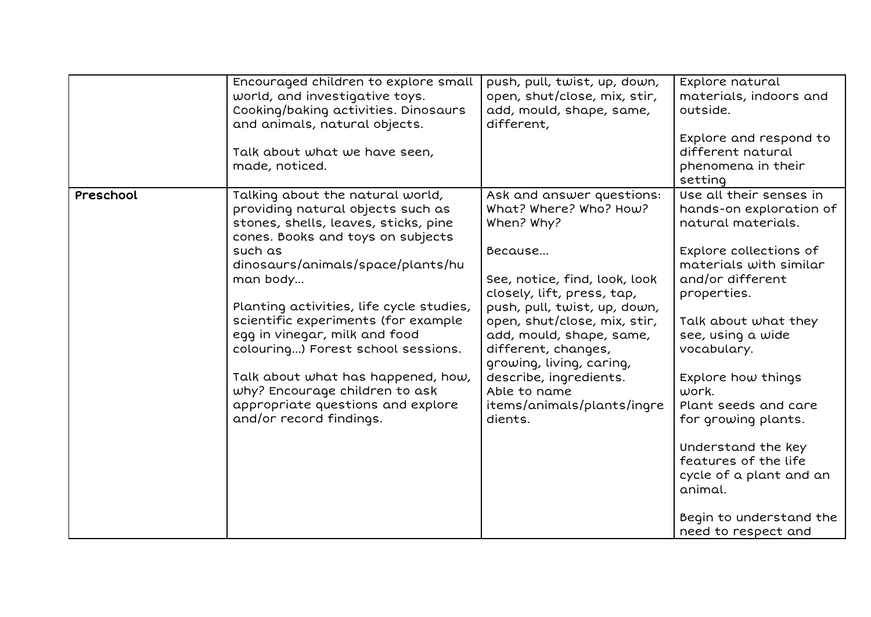|           | Encouraged children to explore small<br>world, and investigative toys.<br>Cooking/baking activities. Dinosaurs<br>and animals, natural objects.<br>Talk about what we have seen,<br>made, noticed.                                                                                                                                                                                                                                                                                                               | push, pull, twist, up, down,<br>open, shut/close, mix, stir,<br>add, mould, shape, same,<br>different,                                                                                                                                                                                                                                                                        | Explore natural<br>materials, indoors and<br>outside.<br>Explore and respond to<br>different natural<br>phenomena in their<br>setting                                                                                                                                                                                                                                                                                                           |
|-----------|------------------------------------------------------------------------------------------------------------------------------------------------------------------------------------------------------------------------------------------------------------------------------------------------------------------------------------------------------------------------------------------------------------------------------------------------------------------------------------------------------------------|-------------------------------------------------------------------------------------------------------------------------------------------------------------------------------------------------------------------------------------------------------------------------------------------------------------------------------------------------------------------------------|-------------------------------------------------------------------------------------------------------------------------------------------------------------------------------------------------------------------------------------------------------------------------------------------------------------------------------------------------------------------------------------------------------------------------------------------------|
| Preschool | Talking about the natural world,<br>providing natural objects such as<br>stones, shells, leaves, sticks, pine<br>cones. Books and toys on subjects<br>such as<br>dinosaurs/animals/space/plants/hu<br>man body<br>Planting activities, life cycle studies,<br>scientific experiments (for example<br>egg in vinegar, milk and food<br>colouring) Forest school sessions.<br>Talk about what has happened, how,<br>why? Encourage children to ask<br>appropriate questions and explore<br>and/or record findings. | Ask and answer questions:<br>What? Where? Who? How?<br>When? Why?<br>Because<br>See, notice, find, look, look<br>closely, lift, press, tap,<br>push, pull, twist, up, down,<br>open, shut/close, mix, stir,<br>add, mould, shape, same,<br>different, changes,<br>growing, living, caring,<br>describe, ingredients.<br>Able to name<br>items/animals/plants/ingre<br>dients. | Use all their senses in<br>hands-on exploration of<br>natural materials.<br>Explore collections of<br>materials with similar<br>and/or different<br>properties.<br>Talk about what they<br>see, using a wide<br>vocabulary.<br>Explore how things<br>work.<br>Plant seeds and care<br>for growing plants.<br>Understand the key<br>features of the life<br>cycle of a plant and an<br>animal.<br>Begin to understand the<br>need to respect and |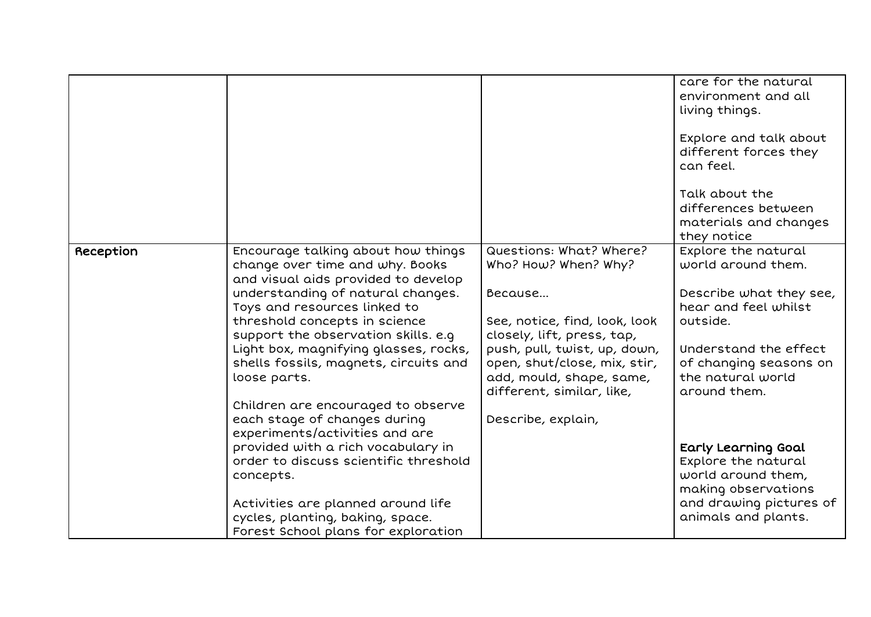|           |                                                                                                                                                                                                                                                                    |                                                                                                                                        | care for the natural<br>environment and all<br>living things.<br>Explore and talk about<br>different forces they<br>can feel. |
|-----------|--------------------------------------------------------------------------------------------------------------------------------------------------------------------------------------------------------------------------------------------------------------------|----------------------------------------------------------------------------------------------------------------------------------------|-------------------------------------------------------------------------------------------------------------------------------|
|           |                                                                                                                                                                                                                                                                    |                                                                                                                                        | Talk about the<br>differences between<br>materials and changes<br>they notice                                                 |
| Reception | Encourage talking about how things<br>change over time and why. Books                                                                                                                                                                                              | Questions: What? Where?<br>Who? How? When? Why?                                                                                        | Explore the natural<br>world around them.                                                                                     |
|           | and visual aids provided to develop<br>understanding of natural changes.<br>Toys and resources linked to<br>threshold concepts in science<br>support the observation skills. e.g<br>Light box, magnifying glasses, rocks,<br>shells fossils, magnets, circuits and | Because<br>See, notice, find, look, look<br>closely, lift, press, tap,<br>push, pull, twist, up, down,<br>open, shut/close, mix, stir, | Describe what they see,<br>hear and feel whilst<br>outside.<br>Understand the effect<br>of changing seasons on                |
|           | loose parts.                                                                                                                                                                                                                                                       | add, mould, shape, same,<br>different, similar, like,                                                                                  | the natural world<br>around them.                                                                                             |
|           | Children are encouraged to observe<br>each stage of changes during<br>experiments/activities and are                                                                                                                                                               | Describe, explain,                                                                                                                     |                                                                                                                               |
|           | provided with a rich vocabulary in<br>order to discuss scientific threshold                                                                                                                                                                                        |                                                                                                                                        | Early Learning Goal<br>Explore the natural                                                                                    |
|           | concepts.<br>Activities are planned around life                                                                                                                                                                                                                    |                                                                                                                                        | world around them,<br>making observations<br>and drawing pictures of                                                          |
|           | cycles, planting, baking, space.<br>Forest School plans for exploration                                                                                                                                                                                            |                                                                                                                                        | animals and plants.                                                                                                           |